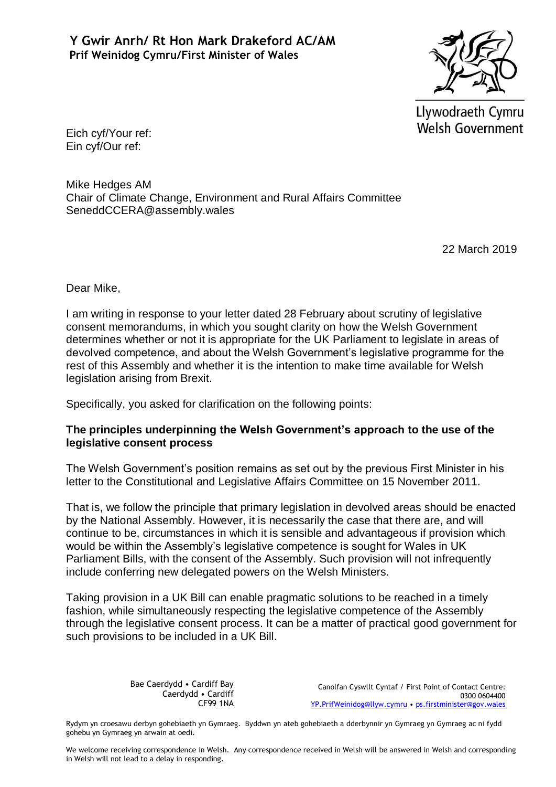

Llywodraeth Cymru **Welsh Government** 

Eich cyf/Your ref: Ein cyf/Our ref:

Mike Hedges AM Chair of Climate Change, Environment and Rural Affairs Committee SeneddCCERA@assembly.wales

22 March 2019

Dear Mike,

I am writing in response to your letter dated 28 February about scrutiny of legislative consent memorandums, in which you sought clarity on how the Welsh Government determines whether or not it is appropriate for the UK Parliament to legislate in areas of devolved competence, and about the Welsh Government's legislative programme for the rest of this Assembly and whether it is the intention to make time available for Welsh legislation arising from Brexit.

Specifically, you asked for clarification on the following points:

## **The principles underpinning the Welsh Government's approach to the use of the legislative consent process**

The Welsh Government's position remains as set out by the previous First Minister in his letter to the Constitutional and Legislative Affairs Committee on 15 November 2011.

That is, we follow the principle that primary legislation in devolved areas should be enacted by the National Assembly. However, it is necessarily the case that there are, and will continue to be, circumstances in which it is sensible and advantageous if provision which would be within the Assembly's legislative competence is sought for Wales in UK Parliament Bills, with the consent of the Assembly. Such provision will not infrequently include conferring new delegated powers on the Welsh Ministers.

Taking provision in a UK Bill can enable pragmatic solutions to be reached in a timely fashion, while simultaneously respecting the legislative competence of the Assembly through the legislative consent process. It can be a matter of practical good government for such provisions to be included in a UK Bill.

> Bae Caerdydd • Cardiff Bay Caerdydd • Cardiff CF99 1NA

Canolfan Cyswllt Cyntaf / First Point of Contact Centre: 0300 0604400 [YP.PrifWeinidog@llyw.cymru](mailto:YP.PrifWeinidog@llyw.cymru) • [ps.firstminister@gov.wales](mailto:ps.firstminister@gov.wales)

Rydym yn croesawu derbyn gohebiaeth yn Gymraeg. Byddwn yn ateb gohebiaeth a dderbynnir yn Gymraeg yn Gymraeg ac ni fydd gohebu yn Gymraeg yn arwain at oedi.

We welcome receiving correspondence in Welsh. Any correspondence received in Welsh will be answered in Welsh and corresponding in Welsh will not lead to a delay in responding.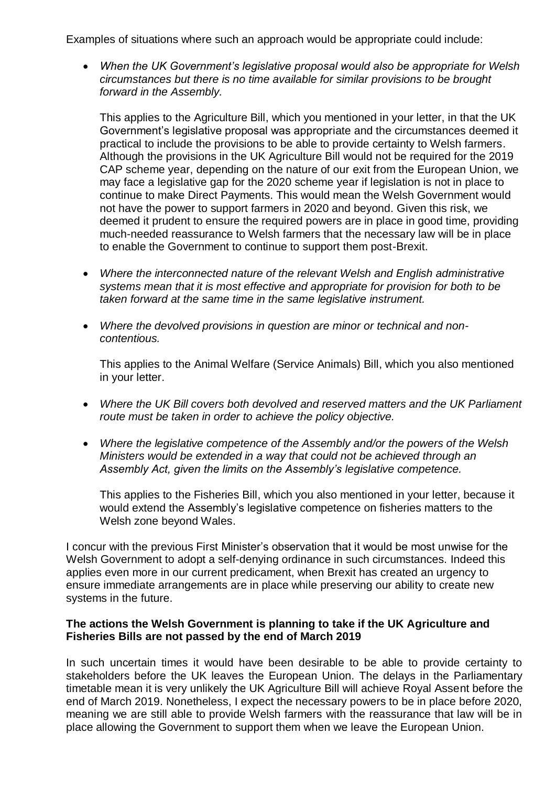Examples of situations where such an approach would be appropriate could include:

 *When the UK Government's legislative proposal would also be appropriate for Welsh circumstances but there is no time available for similar provisions to be brought forward in the Assembly.*

This applies to the Agriculture Bill, which you mentioned in your letter, in that the UK Government's legislative proposal was appropriate and the circumstances deemed it practical to include the provisions to be able to provide certainty to Welsh farmers. Although the provisions in the UK Agriculture Bill would not be required for the 2019 CAP scheme year, depending on the nature of our exit from the European Union, we may face a legislative gap for the 2020 scheme year if legislation is not in place to continue to make Direct Payments. This would mean the Welsh Government would not have the power to support farmers in 2020 and beyond. Given this risk, we deemed it prudent to ensure the required powers are in place in good time, providing much-needed reassurance to Welsh farmers that the necessary law will be in place to enable the Government to continue to support them post-Brexit.

- *Where the interconnected nature of the relevant Welsh and English administrative systems mean that it is most effective and appropriate for provision for both to be taken forward at the same time in the same legislative instrument.*
- *Where the devolved provisions in question are minor or technical and noncontentious.*

This applies to the Animal Welfare (Service Animals) Bill, which you also mentioned in your letter.

- *Where the UK Bill covers both devolved and reserved matters and the UK Parliament route must be taken in order to achieve the policy objective.*
- *Where the legislative competence of the Assembly and/or the powers of the Welsh Ministers would be extended in a way that could not be achieved through an Assembly Act, given the limits on the Assembly's legislative competence.*

This applies to the Fisheries Bill, which you also mentioned in your letter, because it would extend the Assembly's legislative competence on fisheries matters to the Welsh zone beyond Wales.

I concur with the previous First Minister's observation that it would be most unwise for the Welsh Government to adopt a self-denying ordinance in such circumstances. Indeed this applies even more in our current predicament, when Brexit has created an urgency to ensure immediate arrangements are in place while preserving our ability to create new systems in the future.

## **The actions the Welsh Government is planning to take if the UK Agriculture and Fisheries Bills are not passed by the end of March 2019**

In such uncertain times it would have been desirable to be able to provide certainty to stakeholders before the UK leaves the European Union. The delays in the Parliamentary timetable mean it is very unlikely the UK Agriculture Bill will achieve Royal Assent before the end of March 2019. Nonetheless, I expect the necessary powers to be in place before 2020, meaning we are still able to provide Welsh farmers with the reassurance that law will be in place allowing the Government to support them when we leave the European Union.